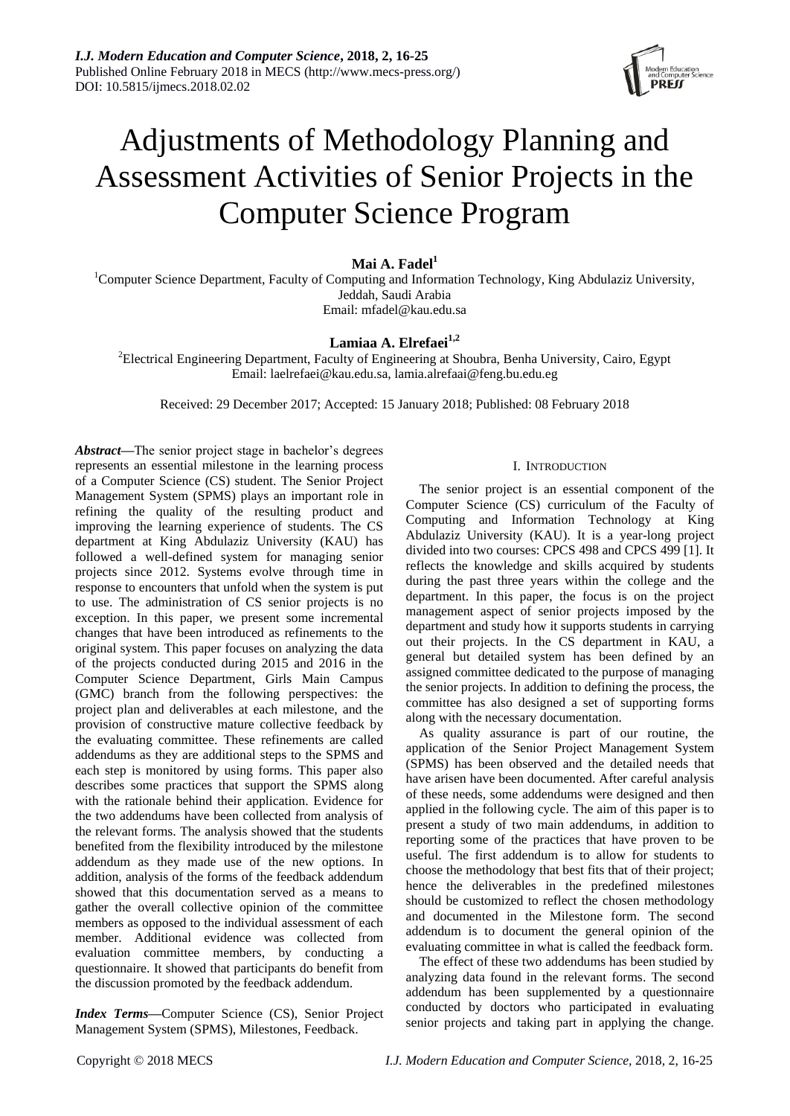

# Adjustments of Methodology Planning and Assessment Activities of Senior Projects in the Computer Science Program

**Mai A. Fadel<sup>1</sup>**

<sup>1</sup>Computer Science Department, Faculty of Computing and Information Technology, King Abdulaziz University, Jeddah, Saudi Arabia Email: mfadel@kau.edu.sa

## **Lamiaa A. Elrefaei1,2**

<sup>2</sup>Electrical Engineering Department, Faculty of Engineering at Shoubra, Benha University, Cairo, Egypt Email: laelrefaei@kau.edu.sa, lamia.alrefaai@feng.bu.edu.eg

Received: 29 December 2017; Accepted: 15 January 2018; Published: 08 February 2018

*Abstract***—**The senior project stage in bachelor's degrees represents an essential milestone in the learning process of a Computer Science (CS) student. The Senior Project Management System (SPMS) plays an important role in refining the quality of the resulting product and improving the learning experience of students. The CS department at King Abdulaziz University (KAU) has followed a well-defined system for managing senior projects since 2012. Systems evolve through time in response to encounters that unfold when the system is put to use. The administration of CS senior projects is no exception. In this paper, we present some incremental changes that have been introduced as refinements to the original system. This paper focuses on analyzing the data of the projects conducted during 2015 and 2016 in the Computer Science Department, Girls Main Campus (GMC) branch from the following perspectives: the project plan and deliverables at each milestone, and the provision of constructive mature collective feedback by the evaluating committee. These refinements are called addendums as they are additional steps to the SPMS and each step is monitored by using forms. This paper also describes some practices that support the SPMS along with the rationale behind their application. Evidence for the two addendums have been collected from analysis of the relevant forms. The analysis showed that the students benefited from the flexibility introduced by the milestone addendum as they made use of the new options. In addition, analysis of the forms of the feedback addendum showed that this documentation served as a means to gather the overall collective opinion of the committee members as opposed to the individual assessment of each member. Additional evidence was collected from evaluation committee members, by conducting a questionnaire. It showed that participants do benefit from the discussion promoted by the feedback addendum.

*Index Terms***—**Computer Science (CS), Senior Project Management System (SPMS), Milestones, Feedback.

## I. INTRODUCTION

The senior project is an essential component of the Computer Science (CS) curriculum of the Faculty of Computing and Information Technology at King Abdulaziz University (KAU). It is a year-long project divided into two courses: CPCS 498 and CPCS 499 [1]. It reflects the knowledge and skills acquired by students during the past three years within the college and the department. In this paper, the focus is on the project management aspect of senior projects imposed by the department and study how it supports students in carrying out their projects. In the CS department in KAU, a general but detailed system has been defined by an assigned committee dedicated to the purpose of managing the senior projects. In addition to defining the process, the committee has also designed a set of supporting forms along with the necessary documentation.

As quality assurance is part of our routine, the application of the Senior Project Management System (SPMS) has been observed and the detailed needs that have arisen have been documented. After careful analysis of these needs, some addendums were designed and then applied in the following cycle. The aim of this paper is to present a study of two main addendums, in addition to reporting some of the practices that have proven to be useful. The first addendum is to allow for students to choose the methodology that best fits that of their project; hence the deliverables in the predefined milestones should be customized to reflect the chosen methodology and documented in the Milestone form. The second addendum is to document the general opinion of the evaluating committee in what is called the feedback form.

The effect of these two addendums has been studied by analyzing data found in the relevant forms. The second addendum has been supplemented by a questionnaire conducted by doctors who participated in evaluating senior projects and taking part in applying the change.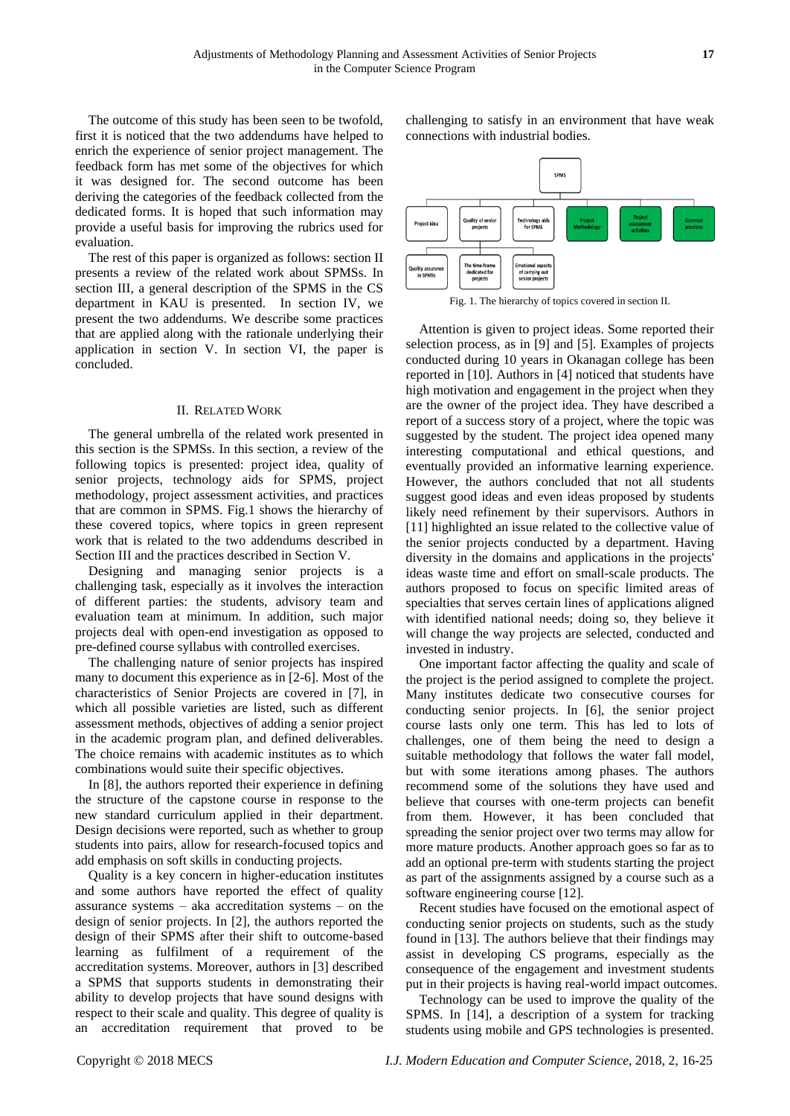The outcome of this study has been seen to be twofold, first it is noticed that the two addendums have helped to enrich the experience of senior project management. The feedback form has met some of the objectives for which it was designed for. The second outcome has been deriving the categories of the feedback collected from the dedicated forms. It is hoped that such information may provide a useful basis for improving the rubrics used for evaluation.

The rest of this paper is organized as follows: section II presents a review of the related work about SPMSs. In section III, a general description of the SPMS in the CS department in KAU is presented. In section IV, we present the two addendums. We describe some practices that are applied along with the rationale underlying their application in section V. In section VI, the paper is concluded.

#### II. RELATED WORK

The general umbrella of the related work presented in this section is the SPMSs. In this section, a review of the following topics is presented: project idea, quality of senior projects, technology aids for SPMS, project methodology, project assessment activities, and practices that are common in SPMS. Fig.1 shows the hierarchy of these covered topics, where topics in green represent work that is related to the two addendums described in Section III and the practices described in Section V.

Designing and managing senior projects is a challenging task, especially as it involves the interaction of different parties: the students, advisory team and evaluation team at minimum. In addition, such major projects deal with open-end investigation as opposed to pre-defined course syllabus with controlled exercises.

The challenging nature of senior projects has inspired many to document this experience as in [2-6]. Most of the characteristics of Senior Projects are covered in [7], in which all possible varieties are listed, such as different assessment methods, objectives of adding a senior project in the academic program plan, and defined deliverables. The choice remains with academic institutes as to which combinations would suite their specific objectives.

In [8], the authors reported their experience in defining the structure of the capstone course in response to the new standard curriculum applied in their department. Design decisions were reported, such as whether to group students into pairs, allow for research-focused topics and add emphasis on soft skills in conducting projects.

Quality is a key concern in higher-education institutes and some authors have reported the effect of quality assurance systems – aka accreditation systems – on the design of senior projects. In [2], the authors reported the design of their SPMS after their shift to outcome-based learning as fulfilment of a requirement of the accreditation systems. Moreover, authors in [3] described a SPMS that supports students in demonstrating their ability to develop projects that have sound designs with respect to their scale and quality. This degree of quality is an accreditation requirement that proved to be

challenging to satisfy in an environment that have weak connections with industrial bodies.



Fig. 1. The hierarchy of topics covered in section II.

Attention is given to project ideas. Some reported their selection process, as in [9] and [5]. Examples of projects conducted during 10 years in Okanagan college has been reported in [10]. Authors in [4] noticed that students have high motivation and engagement in the project when they are the owner of the project idea. They have described a report of a success story of a project, where the topic was suggested by the student. The project idea opened many interesting computational and ethical questions, and eventually provided an informative learning experience. However, the authors concluded that not all students suggest good ideas and even ideas proposed by students likely need refinement by their supervisors. Authors in [11] highlighted an issue related to the collective value of the senior projects conducted by a department. Having diversity in the domains and applications in the projects' ideas waste time and effort on small-scale products. The authors proposed to focus on specific limited areas of specialties that serves certain lines of applications aligned with identified national needs; doing so, they believe it will change the way projects are selected, conducted and invested in industry.

One important factor affecting the quality and scale of the project is the period assigned to complete the project. Many institutes dedicate two consecutive courses for conducting senior projects. In [6], the senior project course lasts only one term. This has led to lots of challenges, one of them being the need to design a suitable methodology that follows the water fall model, but with some iterations among phases. The authors recommend some of the solutions they have used and believe that courses with one-term projects can benefit from them. However, it has been concluded that spreading the senior project over two terms may allow for more mature products. Another approach goes so far as to add an optional pre-term with students starting the project as part of the assignments assigned by a course such as a software engineering course [12].

Recent studies have focused on the emotional aspect of conducting senior projects on students, such as the study found in [13]. The authors believe that their findings may assist in developing CS programs, especially as the consequence of the engagement and investment students put in their projects is having real-world impact outcomes.

Technology can be used to improve the quality of the SPMS. In [14], a description of a system for tracking students using mobile and GPS technologies is presented.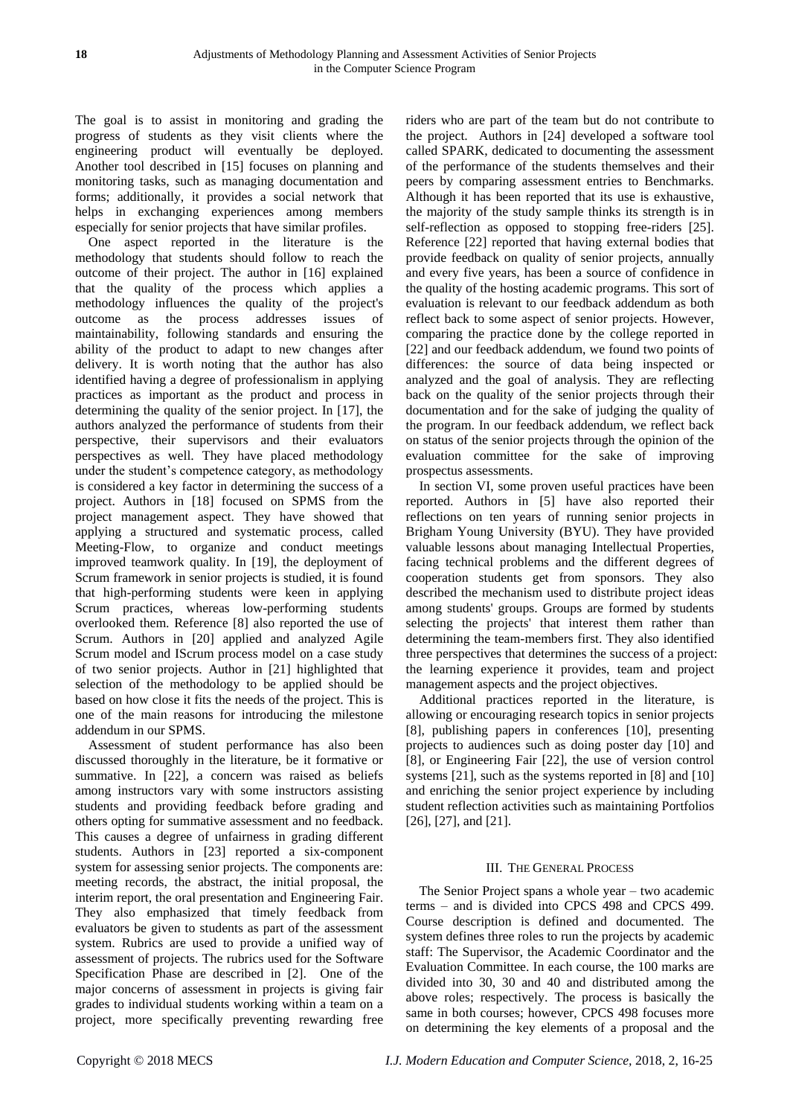The goal is to assist in monitoring and grading the progress of students as they visit clients where the engineering product will eventually be deployed. Another tool described in [15] focuses on planning and monitoring tasks, such as managing documentation and forms; additionally, it provides a social network that helps in exchanging experiences among members especially for senior projects that have similar profiles.

One aspect reported in the literature is the methodology that students should follow to reach the outcome of their project. The author in [16] explained that the quality of the process which applies a methodology influences the quality of the project's outcome as the process addresses issues of maintainability, following standards and ensuring the ability of the product to adapt to new changes after delivery. It is worth noting that the author has also identified having a degree of professionalism in applying practices as important as the product and process in determining the quality of the senior project. In [17], the authors analyzed the performance of students from their perspective, their supervisors and their evaluators perspectives as well. They have placed methodology under the student's competence category, as methodology is considered a key factor in determining the success of a project. Authors in [18] focused on SPMS from the project management aspect. They have showed that applying a structured and systematic process, called Meeting-Flow, to organize and conduct meetings improved teamwork quality. In [19], the deployment of Scrum framework in senior projects is studied, it is found that high-performing students were keen in applying Scrum practices, whereas low-performing students overlooked them. Reference [8] also reported the use of Scrum. Authors in [20] applied and analyzed Agile Scrum model and IScrum process model on a case study of two senior projects. Author in [21] highlighted that selection of the methodology to be applied should be based on how close it fits the needs of the project. This is one of the main reasons for introducing the milestone addendum in our SPMS.

Assessment of student performance has also been discussed thoroughly in the literature, be it formative or summative. In [22], a concern was raised as beliefs among instructors vary with some instructors assisting students and providing feedback before grading and others opting for summative assessment and no feedback. This causes a degree of unfairness in grading different students. Authors in [23] reported a six-component system for assessing senior projects. The components are: meeting records, the abstract, the initial proposal, the interim report, the oral presentation and Engineering Fair. They also emphasized that timely feedback from evaluators be given to students as part of the assessment system. Rubrics are used to provide a unified way of assessment of projects. The rubrics used for the Software Specification Phase are described in [2]. One of the major concerns of assessment in projects is giving fair grades to individual students working within a team on a project, more specifically preventing rewarding free

riders who are part of the team but do not contribute to the project. Authors in [24] developed a software tool called SPARK, dedicated to documenting the assessment of the performance of the students themselves and their peers by comparing assessment entries to Benchmarks. Although it has been reported that its use is exhaustive, the majority of the study sample thinks its strength is in self-reflection as opposed to stopping free-riders [25]. Reference [22] reported that having external bodies that provide feedback on quality of senior projects, annually and every five years, has been a source of confidence in the quality of the hosting academic programs. This sort of evaluation is relevant to our feedback addendum as both reflect back to some aspect of senior projects. However, comparing the practice done by the college reported in [22] and our feedback addendum, we found two points of differences: the source of data being inspected or analyzed and the goal of analysis. They are reflecting back on the quality of the senior projects through their documentation and for the sake of judging the quality of the program. In our feedback addendum, we reflect back on status of the senior projects through the opinion of the evaluation committee for the sake of improving prospectus assessments.

In section VI, some proven useful practices have been reported. Authors in [5] have also reported their reflections on ten years of running senior projects in Brigham Young University (BYU). They have provided valuable lessons about managing Intellectual Properties, facing technical problems and the different degrees of cooperation students get from sponsors. They also described the mechanism used to distribute project ideas among students' groups. Groups are formed by students selecting the projects' that interest them rather than determining the team-members first. They also identified three perspectives that determines the success of a project: the learning experience it provides, team and project management aspects and the project objectives.

Additional practices reported in the literature, is allowing or encouraging research topics in senior projects [8], publishing papers in conferences [10], presenting projects to audiences such as doing poster day [10] and [8], or Engineering Fair [22], the use of version control systems [21], such as the systems reported in [8] and [10] and enriching the senior project experience by including student reflection activities such as maintaining Portfolios [26], [27], and [21].

## III. THE GENERAL PROCESS

The Senior Project spans a whole year – two academic terms – and is divided into CPCS 498 and CPCS 499. Course description is defined and documented. The system defines three roles to run the projects by academic staff: The Supervisor, the Academic Coordinator and the Evaluation Committee. In each course, the 100 marks are divided into 30, 30 and 40 and distributed among the above roles; respectively. The process is basically the same in both courses; however, CPCS 498 focuses more on determining the key elements of a proposal and the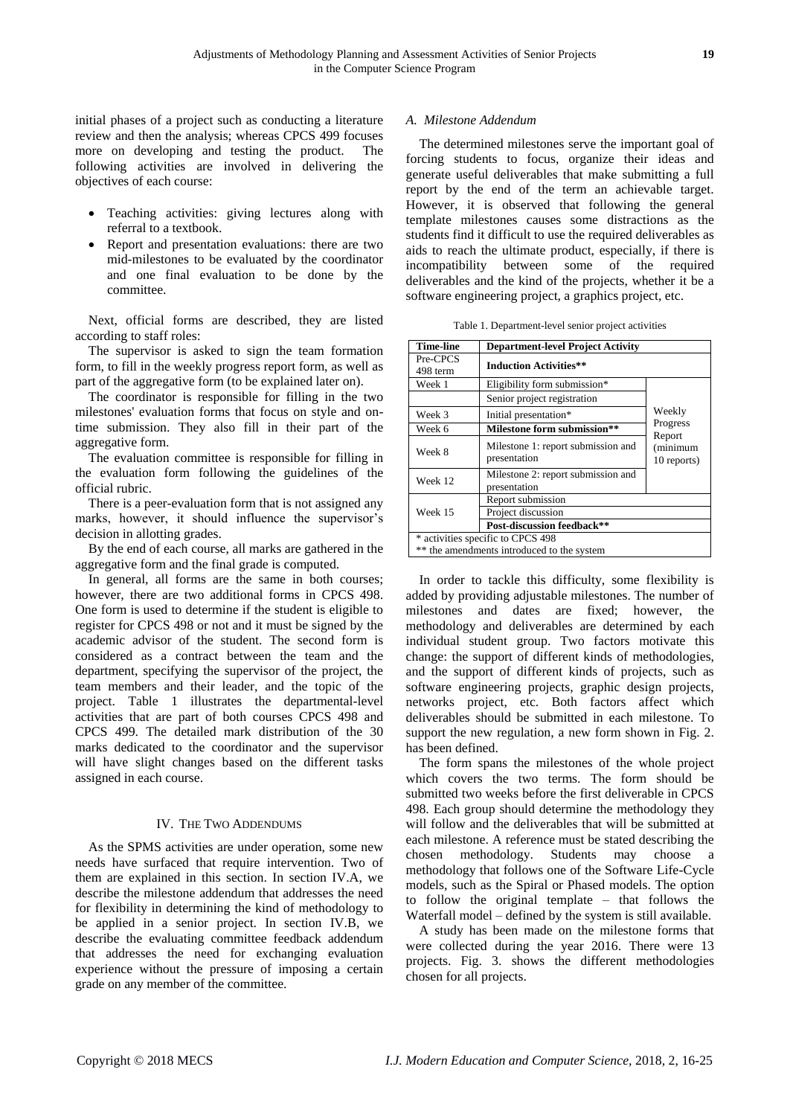initial phases of a project such as conducting a literature review and then the analysis; whereas CPCS 499 focuses more on developing and testing the product. The following activities are involved in delivering the objectives of each course:

- Teaching activities: giving lectures along with referral to a textbook.
- Report and presentation evaluations: there are two mid-milestones to be evaluated by the coordinator and one final evaluation to be done by the committee.

Next, official forms are described, they are listed according to staff roles:

The supervisor is asked to sign the team formation form, to fill in the weekly progress report form, as well as part of the aggregative form (to be explained later on).

The coordinator is responsible for filling in the two milestones' evaluation forms that focus on style and ontime submission. They also fill in their part of the aggregative form.

The evaluation committee is responsible for filling in the evaluation form following the guidelines of the official rubric.

There is a peer-evaluation form that is not assigned any marks, however, it should influence the supervisor's decision in allotting grades.

By the end of each course, all marks are gathered in the aggregative form and the final grade is computed.

In general, all forms are the same in both courses; however, there are two additional forms in CPCS 498. One form is used to determine if the student is eligible to register for CPCS 498 or not and it must be signed by the academic advisor of the student. The second form is considered as a contract between the team and the department, specifying the supervisor of the project, the team members and their leader, and the topic of the project. Table 1 illustrates the departmental-level activities that are part of both courses CPCS 498 and CPCS 499. The detailed mark distribution of the 30 marks dedicated to the coordinator and the supervisor will have slight changes based on the different tasks assigned in each course.

## IV. THE TWO ADDENDUMS

As the SPMS activities are under operation, some new needs have surfaced that require intervention. Two of them are explained in this section. In section IV.A, we describe the milestone addendum that addresses the need for flexibility in determining the kind of methodology to be applied in a senior project. In section IV.B, we describe the evaluating committee feedback addendum that addresses the need for exchanging evaluation experience without the pressure of imposing a certain grade on any member of the committee.

## *A. Milestone Addendum*

The determined milestones serve the important goal of forcing students to focus, organize their ideas and generate useful deliverables that make submitting a full report by the end of the term an achievable target. However, it is observed that following the general template milestones causes some distractions as the students find it difficult to use the required deliverables as aids to reach the ultimate product, especially, if there is incompatibility between some of the required deliverables and the kind of the projects, whether it be a software engineering project, a graphics project, etc.

| Table 1. Department-level senior project activities |
|-----------------------------------------------------|
|-----------------------------------------------------|

| <b>Time-line</b>     | <b>Department-level Project Activity</b>           |                    |  |  |  |
|----------------------|----------------------------------------------------|--------------------|--|--|--|
| Pre-CPCS<br>498 term | <b>Induction Activities**</b>                      |                    |  |  |  |
| Week 1               | Eligibility form submission*                       |                    |  |  |  |
|                      | Senior project registration                        |                    |  |  |  |
| Week 3               | Initial presentation*                              | Weekly             |  |  |  |
| Week 6               | Milestone form submission**                        | Progress<br>Report |  |  |  |
| Week 8               | Milestone 1: report submission and<br>presentation |                    |  |  |  |
| Week 12              | Milestone 2: report submission and<br>presentation |                    |  |  |  |
|                      | Report submission                                  |                    |  |  |  |
| Week 15              | Project discussion                                 |                    |  |  |  |
|                      | Post-discussion feedback**                         |                    |  |  |  |
|                      | * activities specific to CPCS 498                  |                    |  |  |  |
|                      | ** the amendments introduced to the system         |                    |  |  |  |

In order to tackle this difficulty, some flexibility is added by providing adjustable milestones. The number of milestones and dates are fixed; however, the methodology and deliverables are determined by each individual student group. Two factors motivate this change: the support of different kinds of methodologies, and the support of different kinds of projects, such as software engineering projects, graphic design projects, networks project, etc. Both factors affect which deliverables should be submitted in each milestone. To support the new regulation, a new form shown in Fig. 2. has been defined.

The form spans the milestones of the whole project which covers the two terms. The form should be submitted two weeks before the first deliverable in CPCS 498. Each group should determine the methodology they will follow and the deliverables that will be submitted at each milestone. A reference must be stated describing the chosen methodology. Students may choose a methodology that follows one of the Software Life-Cycle models, such as the Spiral or Phased models. The option to follow the original template – that follows the Waterfall model – defined by the system is still available.

A study has been made on the milestone forms that were collected during the year 2016. There were 13 projects. Fig. 3. shows the different methodologies chosen for all projects.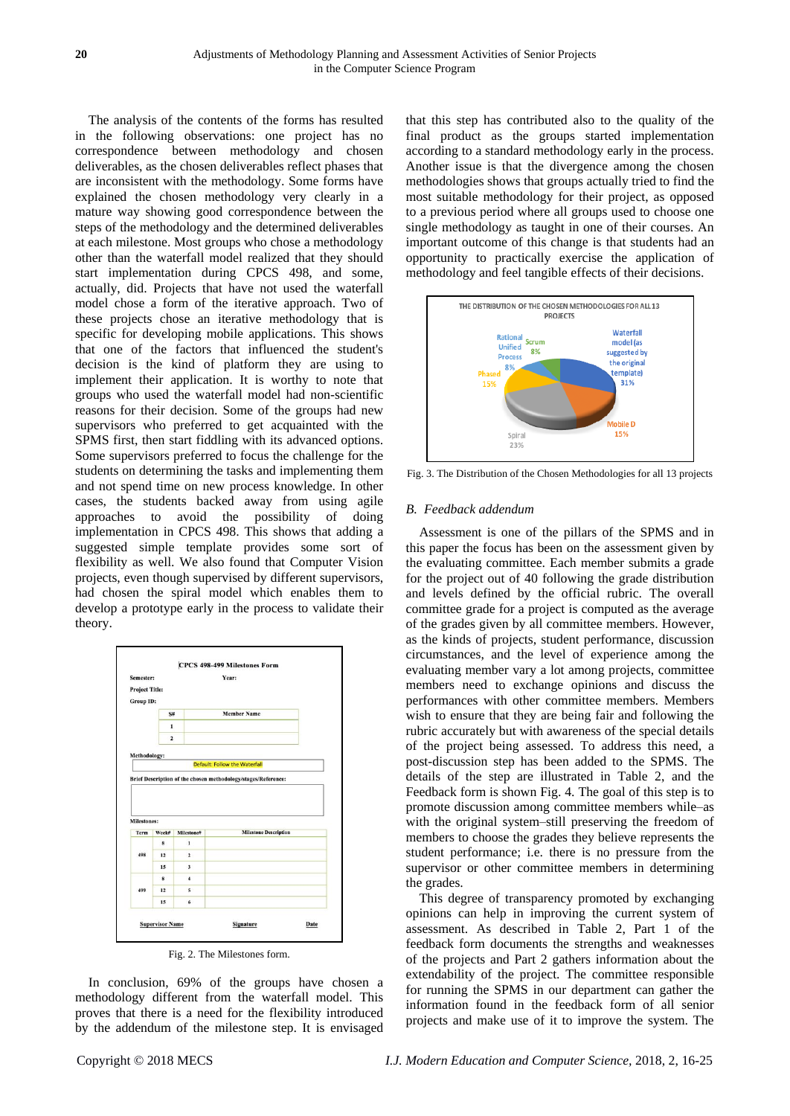The analysis of the contents of the forms has resulted in the following observations: one project has no correspondence between methodology and chosen deliverables, as the chosen deliverables reflect phases that are inconsistent with the methodology. Some forms have explained the chosen methodology very clearly in a mature way showing good correspondence between the steps of the methodology and the determined deliverables at each milestone. Most groups who chose a methodology other than the waterfall model realized that they should start implementation during CPCS 498, and some, actually, did. Projects that have not used the waterfall model chose a form of the iterative approach. Two of these projects chose an iterative methodology that is specific for developing mobile applications. This shows that one of the factors that influenced the student's decision is the kind of platform they are using to implement their application. It is worthy to note that groups who used the waterfall model had non-scientific reasons for their decision. Some of the groups had new supervisors who preferred to get acquainted with the SPMS first, then start fiddling with its advanced options. Some supervisors preferred to focus the challenge for the students on determining the tasks and implementing them and not spend time on new process knowledge. In other cases, the students backed away from using agile approaches to avoid the possibility of doing implementation in CPCS 498. This shows that adding a suggested simple template provides some sort of flexibility as well. We also found that Computer Vision projects, even though supervised by different supervisors, had chosen the spiral model which enables them to develop a prototype early in the process to validate their theory.



Fig. 2. The Milestones form.

In conclusion, 69% of the groups have chosen a methodology different from the waterfall model. This proves that there is a need for the flexibility introduced by the addendum of the milestone step. It is envisaged

that this step has contributed also to the quality of the final product as the groups started implementation according to a standard methodology early in the process. Another issue is that the divergence among the chosen methodologies shows that groups actually tried to find the most suitable methodology for their project, as opposed to a previous period where all groups used to choose one single methodology as taught in one of their courses. An important outcome of this change is that students had an opportunity to practically exercise the application of methodology and feel tangible effects of their decisions.



Fig. 3. The Distribution of the Chosen Methodologies for all 13 projects

#### *B. Feedback addendum*

Assessment is one of the pillars of the SPMS and in this paper the focus has been on the assessment given by the evaluating committee. Each member submits a grade for the project out of 40 following the grade distribution and levels defined by the official rubric. The overall committee grade for a project is computed as the average of the grades given by all committee members. However, as the kinds of projects, student performance, discussion circumstances, and the level of experience among the evaluating member vary a lot among projects, committee members need to exchange opinions and discuss the performances with other committee members. Members wish to ensure that they are being fair and following the rubric accurately but with awareness of the special details of the project being assessed. To address this need, a post-discussion step has been added to the SPMS. The details of the step are illustrated in Table 2, and the Feedback form is shown Fig. 4. The goal of this step is to promote discussion among committee members while–as with the original system–still preserving the freedom of members to choose the grades they believe represents the student performance; i.e. there is no pressure from the supervisor or other committee members in determining the grades.

This degree of transparency promoted by exchanging opinions can help in improving the current system of assessment. As described in Table 2, Part 1 of the feedback form documents the strengths and weaknesses of the projects and Part 2 gathers information about the extendability of the project. The committee responsible for running the SPMS in our department can gather the information found in the feedback form of all senior projects and make use of it to improve the system. The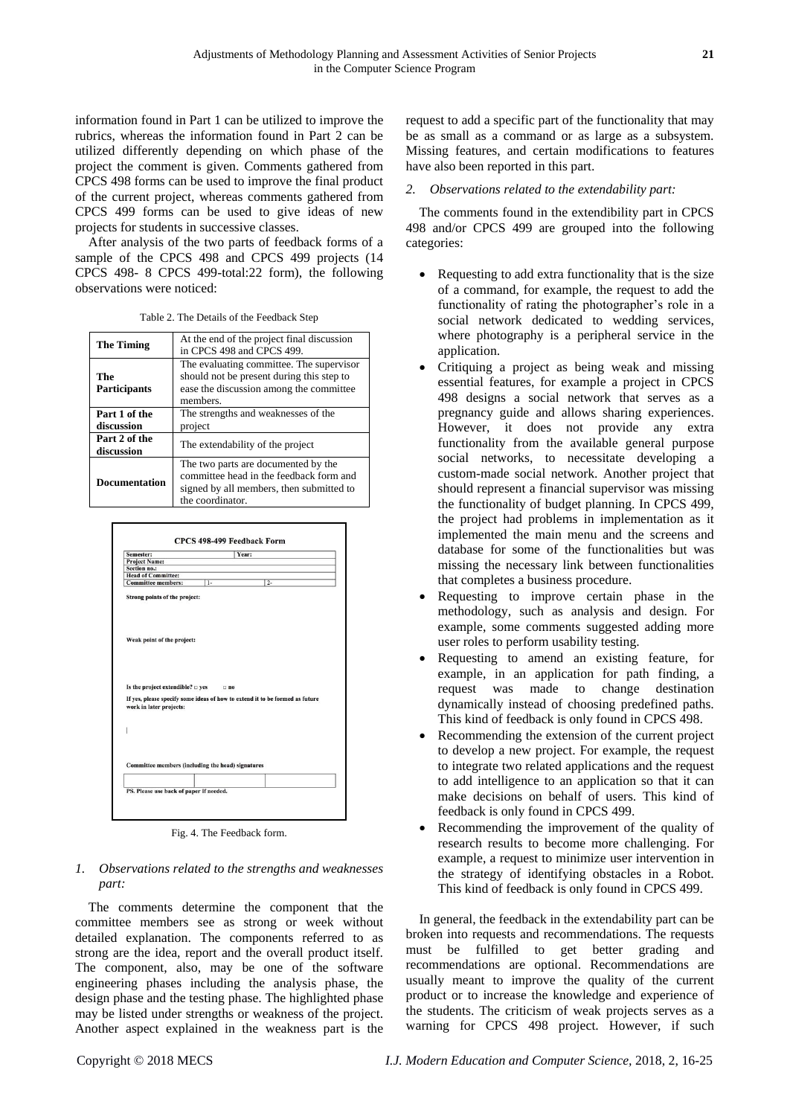information found in Part 1 can be utilized to improve the rubrics, whereas the information found in Part 2 can be utilized differently depending on which phase of the project the comment is given. Comments gathered from CPCS 498 forms can be used to improve the final product of the current project, whereas comments gathered from CPCS 499 forms can be used to give ideas of new projects for students in successive classes.

After analysis of the two parts of feedback forms of a sample of the CPCS 498 and CPCS 499 projects (14 CPCS 498- 8 CPCS 499-total:22 form), the following observations were noticed:

|  |  |  | Table 2. The Details of the Feedback Step |  |
|--|--|--|-------------------------------------------|--|
|  |  |  |                                           |  |

| <b>The Timing</b>           | At the end of the project final discussion<br>in CPCS 498 and CPCS 499.                                                                        |  |  |
|-----------------------------|------------------------------------------------------------------------------------------------------------------------------------------------|--|--|
| The<br><b>Participants</b>  | The evaluating committee. The supervisor<br>should not be present during this step to<br>ease the discussion among the committee<br>members.   |  |  |
| Part 1 of the<br>discussion | The strengths and weaknesses of the<br>project                                                                                                 |  |  |
| Part 2 of the<br>discussion | The extendability of the project                                                                                                               |  |  |
| <b>Documentation</b>        | The two parts are documented by the<br>committee head in the feedback form and<br>signed by all members, then submitted to<br>the coordinator. |  |  |



Fig. 4. The Feedback form.

## *1. Observations related to the strengths and weaknesses part:*

The comments determine the component that the committee members see as strong or week without detailed explanation. The components referred to as strong are the idea, report and the overall product itself. The component, also, may be one of the software engineering phases including the analysis phase, the design phase and the testing phase. The highlighted phase may be listed under strengths or weakness of the project. Another aspect explained in the weakness part is the

request to add a specific part of the functionality that may be as small as a command or as large as a subsystem. Missing features, and certain modifications to features have also been reported in this part.

#### *2. Observations related to the extendability part:*

The comments found in the extendibility part in CPCS 498 and/or CPCS 499 are grouped into the following categories:

- Requesting to add extra functionality that is the size of a command, for example, the request to add the functionality of rating the photographer's role in a social network dedicated to wedding services, where photography is a peripheral service in the application.
- Critiquing a project as being weak and missing essential features, for example a project in CPCS 498 designs a social network that serves as a pregnancy guide and allows sharing experiences. However, it does not provide any extra functionality from the available general purpose social networks, to necessitate developing a custom-made social network. Another project that should represent a financial supervisor was missing the functionality of budget planning. In CPCS 499, the project had problems in implementation as it implemented the main menu and the screens and database for some of the functionalities but was missing the necessary link between functionalities that completes a business procedure.
- Requesting to improve certain phase in the methodology, such as analysis and design. For example, some comments suggested adding more user roles to perform usability testing.
- Requesting to amend an existing feature, for example, in an application for path finding, a request was made to change destination dynamically instead of choosing predefined paths. This kind of feedback is only found in CPCS 498.
- Recommending the extension of the current project to develop a new project. For example, the request to integrate two related applications and the request to add intelligence to an application so that it can make decisions on behalf of users. This kind of feedback is only found in CPCS 499.
- Recommending the improvement of the quality of research results to become more challenging. For example, a request to minimize user intervention in the strategy of identifying obstacles in a Robot. This kind of feedback is only found in CPCS 499.

In general, the feedback in the extendability part can be broken into requests and recommendations. The requests must be fulfilled to get better grading and recommendations are optional. Recommendations are usually meant to improve the quality of the current product or to increase the knowledge and experience of the students. The criticism of weak projects serves as a warning for CPCS 498 project. However, if such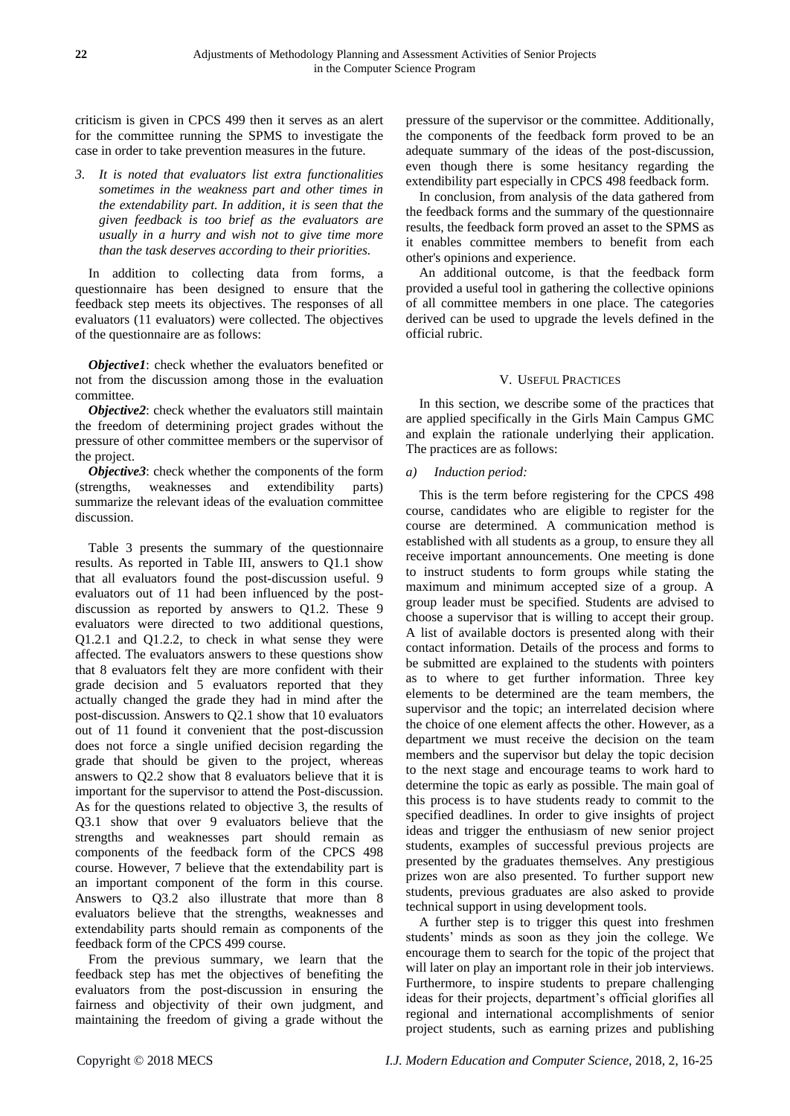criticism is given in CPCS 499 then it serves as an alert for the committee running the SPMS to investigate the case in order to take prevention measures in the future.

*3. It is noted that evaluators list extra functionalities sometimes in the weakness part and other times in the extendability part. In addition, it is seen that the given feedback is too brief as the evaluators are usually in a hurry and wish not to give time more than the task deserves according to their priorities.* 

In addition to collecting data from forms, a questionnaire has been designed to ensure that the feedback step meets its objectives. The responses of all evaluators (11 evaluators) were collected. The objectives of the questionnaire are as follows:

*Objective1*: check whether the evaluators benefited or not from the discussion among those in the evaluation committee.

*Objective2*: check whether the evaluators still maintain the freedom of determining project grades without the pressure of other committee members or the supervisor of the project.

*Objective3*: check whether the components of the form (strengths, weaknesses and extendibility parts) summarize the relevant ideas of the evaluation committee discussion.

Table 3 presents the summary of the questionnaire results. As reported in Table III, answers to Q1.1 show that all evaluators found the post-discussion useful. 9 evaluators out of 11 had been influenced by the postdiscussion as reported by answers to Q1.2. These 9 evaluators were directed to two additional questions, Q1.2.1 and Q1.2.2, to check in what sense they were affected. The evaluators answers to these questions show that 8 evaluators felt they are more confident with their grade decision and 5 evaluators reported that they actually changed the grade they had in mind after the post-discussion. Answers to Q2.1 show that 10 evaluators out of 11 found it convenient that the post-discussion does not force a single unified decision regarding the grade that should be given to the project, whereas answers to Q2.2 show that 8 evaluators believe that it is important for the supervisor to attend the Post-discussion. As for the questions related to objective 3, the results of Q3.1 show that over 9 evaluators believe that the strengths and weaknesses part should remain as components of the feedback form of the CPCS 498 course. However, 7 believe that the extendability part is an important component of the form in this course. Answers to Q3.2 also illustrate that more than 8 evaluators believe that the strengths, weaknesses and extendability parts should remain as components of the feedback form of the CPCS 499 course.

From the previous summary, we learn that the feedback step has met the objectives of benefiting the evaluators from the post-discussion in ensuring the fairness and objectivity of their own judgment, and maintaining the freedom of giving a grade without the

pressure of the supervisor or the committee. Additionally, the components of the feedback form proved to be an adequate summary of the ideas of the post-discussion, even though there is some hesitancy regarding the extendibility part especially in CPCS 498 feedback form.

In conclusion, from analysis of the data gathered from the feedback forms and the summary of the questionnaire results, the feedback form proved an asset to the SPMS as it enables committee members to benefit from each other's opinions and experience.

An additional outcome, is that the feedback form provided a useful tool in gathering the collective opinions of all committee members in one place. The categories derived can be used to upgrade the levels defined in the official rubric.

## V. USEFUL PRACTICES

In this section, we describe some of the practices that are applied specifically in the Girls Main Campus GMC and explain the rationale underlying their application. The practices are as follows:

## *a) Induction period:*

This is the term before registering for the CPCS 498 course, candidates who are eligible to register for the course are determined. A communication method is established with all students as a group, to ensure they all receive important announcements. One meeting is done to instruct students to form groups while stating the maximum and minimum accepted size of a group. A group leader must be specified. Students are advised to choose a supervisor that is willing to accept their group. A list of available doctors is presented along with their contact information. Details of the process and forms to be submitted are explained to the students with pointers as to where to get further information. Three key elements to be determined are the team members, the supervisor and the topic; an interrelated decision where the choice of one element affects the other. However, as a department we must receive the decision on the team members and the supervisor but delay the topic decision to the next stage and encourage teams to work hard to determine the topic as early as possible. The main goal of this process is to have students ready to commit to the specified deadlines. In order to give insights of project ideas and trigger the enthusiasm of new senior project students, examples of successful previous projects are presented by the graduates themselves. Any prestigious prizes won are also presented. To further support new students, previous graduates are also asked to provide technical support in using development tools.

A further step is to trigger this quest into freshmen students' minds as soon as they join the college. We encourage them to search for the topic of the project that will later on play an important role in their job interviews. Furthermore, to inspire students to prepare challenging ideas for their projects, department's official glorifies all regional and international accomplishments of senior project students, such as earning prizes and publishing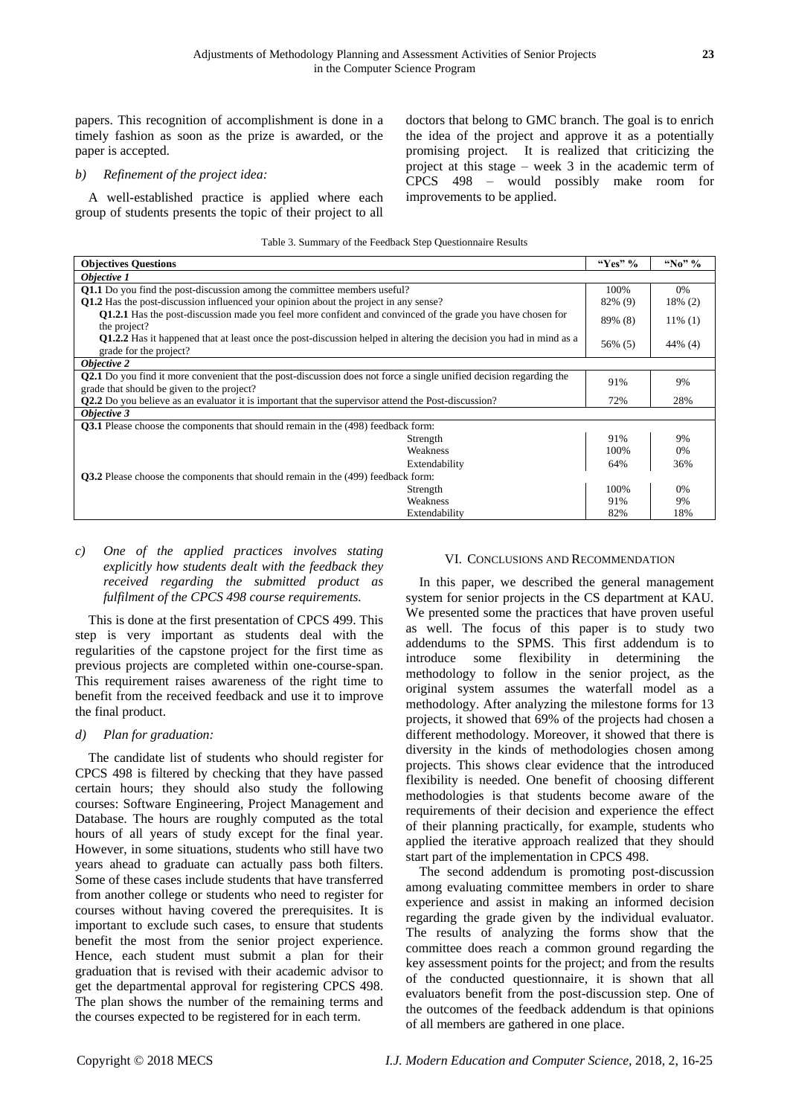papers. This recognition of accomplishment is done in a timely fashion as soon as the prize is awarded, or the paper is accepted.

#### *b) Refinement of the project idea:*

A well-established practice is applied where each group of students presents the topic of their project to all doctors that belong to GMC branch. The goal is to enrich the idea of the project and approve it as a potentially promising project. It is realized that criticizing the project at this stage – week 3 in the academic term of CPCS 498 – would possibly make room for improvements to be applied.

#### Table 3. Summary of the Feedback Step Questionnaire Results

| <b>Objectives Questions</b>                                                                                                                         | "Yes" %       | "No" % |            |  |  |  |  |
|-----------------------------------------------------------------------------------------------------------------------------------------------------|---------------|--------|------------|--|--|--|--|
| Objective 1                                                                                                                                         |               |        |            |  |  |  |  |
| Q1.1 Do you find the post-discussion among the committee members useful?                                                                            |               |        | 0%         |  |  |  |  |
| <b>Q1.2</b> Has the post-discussion influenced your opinion about the project in any sense?                                                         |               |        | 18% (2)    |  |  |  |  |
| <b>Q1.2.1</b> Has the post-discussion made you feel more confident and convinced of the grade you have chosen for<br>the project?                   |               |        | $11\%$ (1) |  |  |  |  |
| <b>Q1.2.2</b> Has it happened that at least once the post-discussion helped in altering the decision you had in mind as a<br>grade for the project? |               |        | $44\%$ (4) |  |  |  |  |
| Objective 2                                                                                                                                         |               |        |            |  |  |  |  |
| <b>Q2.1</b> Do you find it more convenient that the post-discussion does not force a single unified decision regarding the                          |               |        | 9%         |  |  |  |  |
| grade that should be given to the project?                                                                                                          |               |        |            |  |  |  |  |
| Q2.2 Do you believe as an evaluator it is important that the supervisor attend the Post-discussion?                                                 |               |        | 28%        |  |  |  |  |
| Objective 3                                                                                                                                         |               |        |            |  |  |  |  |
| <b>Q3.1</b> Please choose the components that should remain in the (498) feedback form:                                                             |               |        |            |  |  |  |  |
| Strength                                                                                                                                            |               | 91%    | 9%         |  |  |  |  |
| Weakness                                                                                                                                            |               | 100%   | 0%         |  |  |  |  |
|                                                                                                                                                     | Extendability | 64%    | 36%        |  |  |  |  |
| <b>Q3.2</b> Please choose the components that should remain in the (499) feedback form:                                                             |               |        |            |  |  |  |  |
| 100%<br>Strength<br>$0\%$                                                                                                                           |               |        |            |  |  |  |  |
| Weakness                                                                                                                                            |               | 91%    | 9%         |  |  |  |  |
|                                                                                                                                                     | Extendability | 82%    | 18%        |  |  |  |  |

## *c) One of the applied practices involves stating explicitly how students dealt with the feedback they received regarding the submitted product as fulfilment of the CPCS 498 course requirements.*

This is done at the first presentation of CPCS 499. This step is very important as students deal with the regularities of the capstone project for the first time as previous projects are completed within one-course-span. This requirement raises awareness of the right time to benefit from the received feedback and use it to improve the final product.

## *d) Plan for graduation:*

The candidate list of students who should register for CPCS 498 is filtered by checking that they have passed certain hours; they should also study the following courses: Software Engineering, Project Management and Database. The hours are roughly computed as the total hours of all years of study except for the final year. However, in some situations, students who still have two years ahead to graduate can actually pass both filters. Some of these cases include students that have transferred from another college or students who need to register for courses without having covered the prerequisites. It is important to exclude such cases, to ensure that students benefit the most from the senior project experience. Hence, each student must submit a plan for their graduation that is revised with their academic advisor to get the departmental approval for registering CPCS 498. The plan shows the number of the remaining terms and the courses expected to be registered for in each term.

## VI. CONCLUSIONS AND RECOMMENDATION

In this paper, we described the general management system for senior projects in the CS department at KAU. We presented some the practices that have proven useful as well. The focus of this paper is to study two addendums to the SPMS. This first addendum is to introduce some flexibility in determining the methodology to follow in the senior project, as the original system assumes the waterfall model as a methodology. After analyzing the milestone forms for 13 projects, it showed that 69% of the projects had chosen a different methodology. Moreover, it showed that there is diversity in the kinds of methodologies chosen among projects. This shows clear evidence that the introduced flexibility is needed. One benefit of choosing different methodologies is that students become aware of the requirements of their decision and experience the effect of their planning practically, for example, students who applied the iterative approach realized that they should start part of the implementation in CPCS 498.

The second addendum is promoting post-discussion among evaluating committee members in order to share experience and assist in making an informed decision regarding the grade given by the individual evaluator. The results of analyzing the forms show that the committee does reach a common ground regarding the key assessment points for the project; and from the results of the conducted questionnaire, it is shown that all evaluators benefit from the post-discussion step. One of the outcomes of the feedback addendum is that opinions of all members are gathered in one place.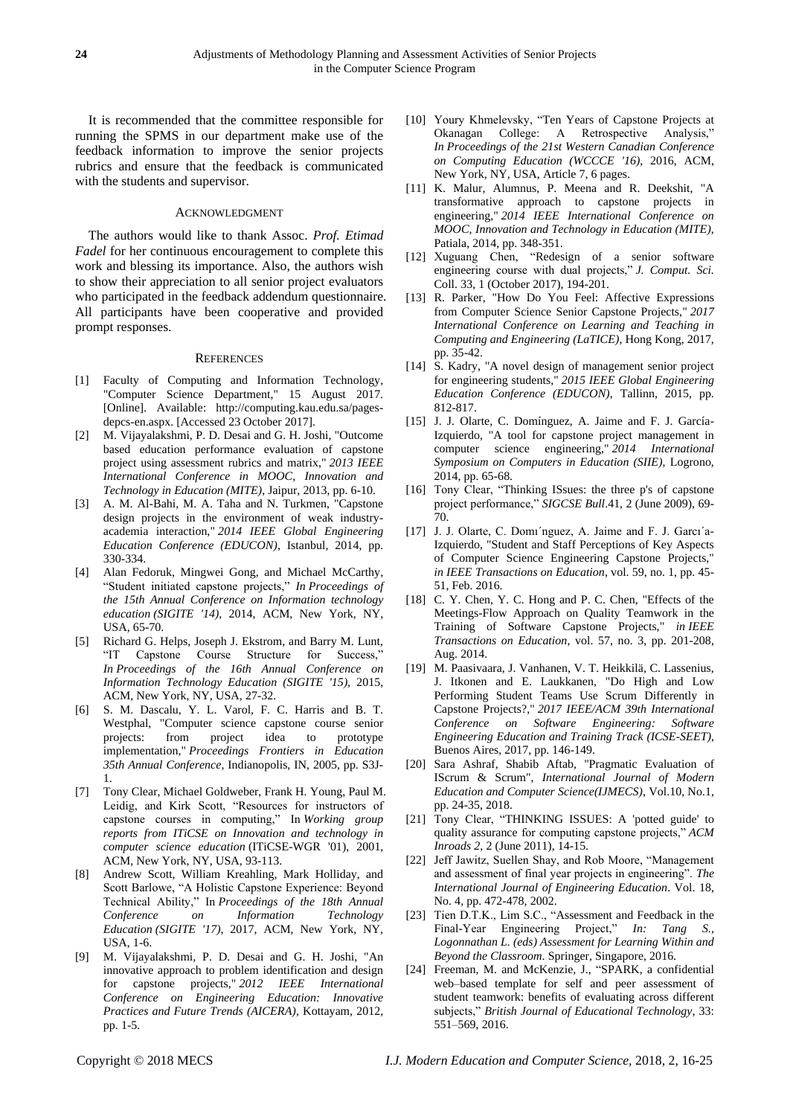It is recommended that the committee responsible for running the SPMS in our department make use of the feedback information to improve the senior projects rubrics and ensure that the feedback is communicated with the students and supervisor.

#### ACKNOWLEDGMENT

The authors would like to thank Assoc. *Prof. Etimad Fadel* for her continuous encouragement to complete this work and blessing its importance. Also, the authors wish to show their appreciation to all senior project evaluators who participated in the feedback addendum questionnaire. All participants have been cooperative and provided prompt responses.

#### **REFERENCES**

- [1] Faculty of Computing and Information Technology, "Computer Science Department," 15 August 2017. [Online]. Available: http://computing.kau.edu.sa/pagesdepcs-en.aspx. [Accessed 23 October 2017].
- [2] M. Vijayalakshmi, P. D. Desai and G. H. Joshi, "Outcome based education performance evaluation of capstone project using assessment rubrics and matrix," *2013 IEEE International Conference in MOOC, Innovation and Technology in Education (MITE)*, Jaipur, 2013, pp. 6-10.
- [3] A. M. Al-Bahi, M. A. Taha and N. Turkmen, "Capstone design projects in the environment of weak industryacademia interaction," *2014 IEEE Global Engineering Education Conference (EDUCON)*, Istanbul, 2014, pp. 330-334.
- [4] Alan Fedoruk, Mingwei Gong, and Michael McCarthy, "Student initiated capstone projects," *In Proceedings of the 15th Annual Conference on Information technology education (SIGITE '14)*, 2014, ACM, New York, NY, USA, 65-70.
- [5] Richard G. Helps, Joseph J. Ekstrom, and Barry M. Lunt, "IT Capstone Course Structure for Success," *In Proceedings of the 16th Annual Conference on Information Technology Education (SIGITE '15),* 2015, ACM, New York, NY, USA, 27-32.
- [6] S. M. Dascalu, Y. L. Varol, F. C. Harris and B. T. Westphal, "Computer science capstone course senior projects: from project idea to prototype implementation," *Proceedings Frontiers in Education 35th Annual Conference*, Indianopolis, IN, 2005, pp. S3J-1.
- [7] Tony Clear, Michael Goldweber, Frank H. Young, Paul M. Leidig, and Kirk Scott, "Resources for instructors of capstone courses in computing," In *Working group reports from ITiCSE on Innovation and technology in computer science education* (ITiCSE-WGR '01), 2001, ACM, New York, NY, USA, 93-113.
- [8] Andrew Scott, William Kreahling, Mark Holliday, and Scott Barlowe, "A Holistic Capstone Experience: Beyond Technical Ability," In *Proceedings of the 18th Annual Conference on Information Technology Education (SIGITE '17)*, 2017, ACM, New York, NY, USA, 1-6.
- [9] M. Vijayalakshmi, P. D. Desai and G. H. Joshi, "An innovative approach to problem identification and design for capstone projects," *2012 IEEE International Conference on Engineering Education: Innovative Practices and Future Trends (AICERA)*, Kottayam, 2012, pp. 1-5.
- [10] Youry Khmelevsky, "Ten Years of Capstone Projects at Okanagan College: A Retrospective Analysis," *In Proceedings of the 21st Western Canadian Conference on Computing Education (WCCCE '16)*, 2016, ACM, New York, NY, USA, Article 7, 6 pages.
- [11] K. Malur, Alumnus, P. Meena and R. Deekshit, "A transformative approach to capstone projects in engineering," *2014 IEEE International Conference on MOOC, Innovation and Technology in Education (MITE)*, Patiala, 2014, pp. 348-351.
- [12] Xuguang Chen, "Redesign of a senior software engineering course with dual projects," *J. Comput. Sci.* Coll. 33, 1 (October 2017), 194-201.
- [13] R. Parker, "How Do You Feel: Affective Expressions from Computer Science Senior Capstone Projects," *2017 International Conference on Learning and Teaching in Computing and Engineering (LaTICE)*, Hong Kong, 2017, pp. 35-42.
- [14] S. Kadry, "A novel design of management senior project for engineering students," *2015 IEEE Global Engineering Education Conference (EDUCON)*, Tallinn, 2015, pp. 812-817.
- [15] J. J. Olarte, C. Dom nguez, A. Jaime and F. J. Garc  $n-1$ Izquierdo, "A tool for capstone project management in computer science engineering," *2014 International Symposium on Computers in Education (SIIE)*, Logrono, 2014, pp. 65-68.
- [16] Tony Clear, "Thinking ISsues: the three p's of capstone project performance," *SIGCSE Bull*.41, 2 (June 2009), 69- 70.
- [17] J. J. Olarte, C. Domi'nguez, A. Jaime and F. J. Garcı'a-Izquierdo, "Student and Staff Perceptions of Key Aspects of Computer Science Engineering Capstone Projects," *in IEEE Transactions on Education*, vol. 59, no. 1, pp. 45- 51, Feb. 2016.
- [18] C. Y. Chen, Y. C. Hong and P. C. Chen, "Effects of the Meetings-Flow Approach on Quality Teamwork in the Training of Software Capstone Projects," *in IEEE Transactions on Education*, vol. 57, no. 3, pp. 201-208, Aug. 2014.
- [19] M. Paasivaara, J. Vanhanen, V. T. Heikkilä, C. Lassenius, J. Itkonen and E. Laukkanen, "Do High and Low Performing Student Teams Use Scrum Differently in Capstone Projects?," *2017 IEEE/ACM 39th International Conference on Software Engineering: Software Engineering Education and Training Track (ICSE-SEET)*, Buenos Aires, 2017, pp. 146-149.
- [20] Sara Ashraf, Shabib Aftab, "Pragmatic Evaluation of IScrum & Scrum", *International Journal of Modern Education and Computer Science(IJMECS)*, Vol.10, No.1, pp. 24-35, 2018.
- [21] Tony Clear, "THINKING ISSUES: A 'potted guide' to quality assurance for computing capstone projects," *ACM Inroads 2*, 2 (June 2011), 14-15.
- [22] Jeff Jawitz, Suellen Shay, and Rob Moore, "Management and assessment of final year projects in engineering". *The International Journal of Engineering Education*. Vol. 18, No. 4, pp. 472-478, 2002.
- [23] Tien D.T.K., Lim S.C., "Assessment and Feedback in the Final-Year Engineering Project," *In: Tang S., Logonnathan L. (eds) Assessment for Learning Within and Beyond the Classroom*. Springer, Singapore, 2016.
- [24] Freeman, M. and McKenzie, J., "SPARK, a confidential web–based template for self and peer assessment of student teamwork: benefits of evaluating across different subjects," *British Journal of Educational Technology*, 33: 551–569, 2016.